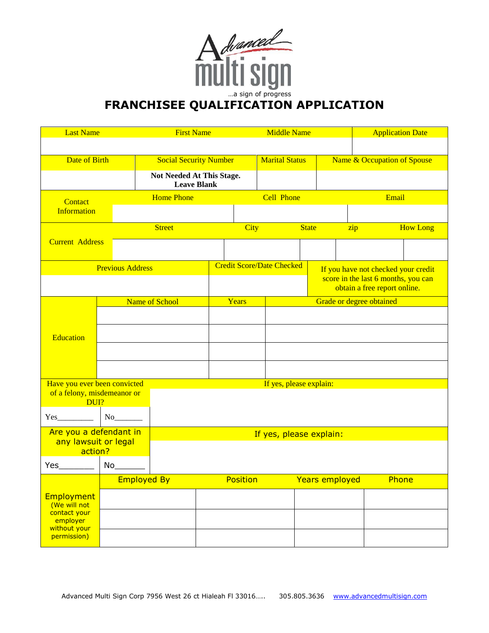

## **FRANCHISEE QUALIFICATION APPLICATION**

| <b>Last Name</b>                                              |                         | <b>First Name</b> |                                                                     |  | <b>Middle Name</b>               |                       |                             | <b>Application Date</b>             |                 |
|---------------------------------------------------------------|-------------------------|-------------------|---------------------------------------------------------------------|--|----------------------------------|-----------------------|-----------------------------|-------------------------------------|-----------------|
|                                                               |                         |                   |                                                                     |  |                                  |                       |                             |                                     |                 |
| Date of Birth                                                 |                         |                   | <b>Social Security Number</b>                                       |  | <b>Marital Status</b>            |                       | Name & Occupation of Spouse |                                     |                 |
|                                                               |                         |                   | Not Needed At This Stage.<br><b>Leave Blank</b>                     |  |                                  |                       |                             |                                     |                 |
|                                                               |                         | <b>Home Phone</b> |                                                                     |  | <b>Cell Phone</b>                |                       |                             | Email                               |                 |
| Contact<br><b>Information</b>                                 |                         |                   |                                                                     |  |                                  |                       |                             |                                     |                 |
|                                                               |                         | <b>Street</b>     |                                                                     |  | <b>State</b><br><b>City</b>      |                       | $\overline{zip}$            |                                     | <b>How Long</b> |
| <b>Current Address</b>                                        |                         |                   |                                                                     |  |                                  |                       |                             |                                     |                 |
|                                                               | <b>Previous Address</b> |                   |                                                                     |  | <b>Credit Score/Date Checked</b> |                       |                             | If you have not checked your credit |                 |
|                                                               |                         |                   | score in the last 6 months, you can<br>obtain a free report online. |  |                                  |                       |                             |                                     |                 |
|                                                               | <b>Name of School</b>   |                   | Years                                                               |  |                                  |                       | Grade or degree obtained    |                                     |                 |
|                                                               |                         |                   |                                                                     |  |                                  |                       |                             |                                     |                 |
| <b>Education</b>                                              |                         |                   |                                                                     |  |                                  |                       |                             |                                     |                 |
|                                                               |                         |                   |                                                                     |  |                                  |                       |                             |                                     |                 |
|                                                               |                         |                   |                                                                     |  |                                  |                       |                             |                                     |                 |
|                                                               |                         |                   |                                                                     |  |                                  |                       |                             |                                     |                 |
| Have you ever been convicted                                  |                         |                   | If yes, please explain:                                             |  |                                  |                       |                             |                                     |                 |
| of a felony, misdemeanor or<br>DUI?                           |                         |                   |                                                                     |  |                                  |                       |                             |                                     |                 |
| Yes                                                           |                         |                   |                                                                     |  |                                  |                       |                             |                                     |                 |
| Are you a defendant in                                        |                         |                   | If yes, please explain:                                             |  |                                  |                       |                             |                                     |                 |
| any lawsuit or legal<br>action?                               |                         |                   |                                                                     |  |                                  |                       |                             |                                     |                 |
| Yes                                                           | No                      |                   |                                                                     |  |                                  |                       |                             |                                     |                 |
|                                                               | <b>Employed By</b>      |                   | Position                                                            |  |                                  | <b>Years employed</b> |                             | Phone                               |                 |
| <b>Employment</b><br>(We will not<br>contact your<br>employer |                         |                   |                                                                     |  |                                  |                       |                             |                                     |                 |
|                                                               |                         |                   |                                                                     |  |                                  |                       |                             |                                     |                 |
| without your<br>permission)                                   |                         |                   |                                                                     |  |                                  |                       |                             |                                     |                 |